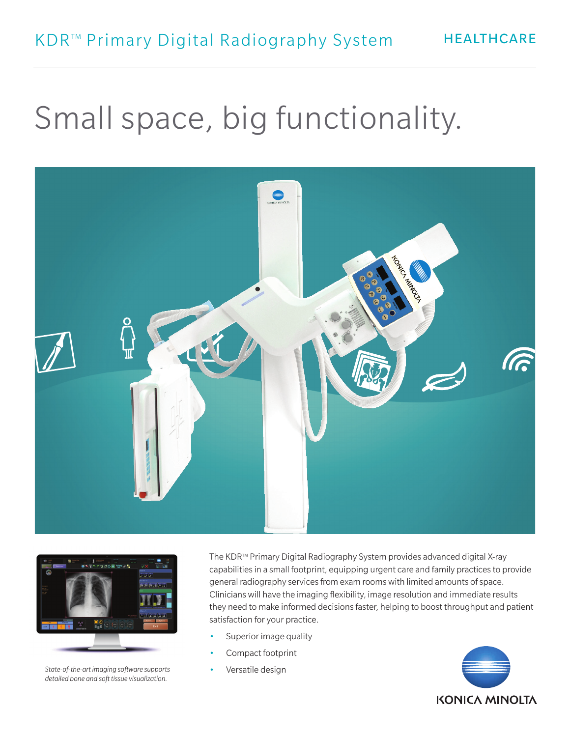# Small space, big functionality. Small space, big functionality. Small space, big functionality.





*State-of-the-art imaging software supports*  State-of-the-art imaging software supports *detailed bone and soft tissue visualization.* State-of-the-art imaging software supports otate-of-the-art imaging software supports

The KDR™ Primary Digital Radiography System provides advanced digital X-ray capabilities in a small footprint, equipping urgent care and family practices to provide general radiography services from exam rooms with limited amounts of space. Clinicians will have the imaging flexibility, image resolution and immediate results they need to make informed decisions faster, helping to boost throughput and patient satisfaction for your practice.

- Superior image quality
- Compact footprint
	- Versatile design